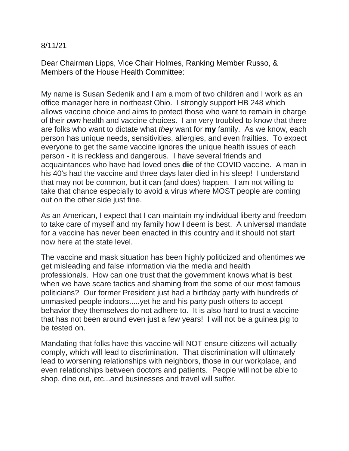## 8/11/21

Dear Chairman Lipps, Vice Chair Holmes, Ranking Member Russo, & Members of the House Health Committee:

My name is Susan Sedenik and I am a mom of two children and I work as an office manager here in northeast Ohio. I strongly support HB 248 which allows vaccine choice and aims to protect those who want to remain in charge of their *own* health and vaccine choices. I am very troubled to know that there are folks who want to dictate what *they* want for **my** family. As we know, each person has unique needs, sensitivities, allergies, and even frailties. To expect everyone to get the same vaccine ignores the unique health issues of each person - it is reckless and dangerous. I have several friends and acquaintances who have had loved ones **die** of the COVID vaccine. A man in his 40's had the vaccine and three days later died in his sleep! I understand that may not be common, but it can (and does) happen. I am not willing to take that chance especially to avoid a virus where MOST people are coming out on the other side just fine.

As an American, I expect that I can maintain my individual liberty and freedom to take care of myself and my family how **I** deem is best. A universal mandate for a vaccine has never been enacted in this country and it should not start now here at the state level.

The vaccine and mask situation has been highly politicized and oftentimes we get misleading and false information via the media and health professionals. How can one trust that the government knows what is best when we have scare tactics and shaming from the some of our most famous politicians? Our former President just had a birthday party with hundreds of unmasked people indoors.....yet he and his party push others to accept behavior they themselves do not adhere to. It is also hard to trust a vaccine that has not been around even just a few years! I will not be a guinea pig to be tested on.

Mandating that folks have this vaccine will NOT ensure citizens will actually comply, which will lead to discrimination. That discrimination will ultimately lead to worsening relationships with neighbors, those in our workplace, and even relationships between doctors and patients. People will not be able to shop, dine out, etc...and businesses and travel will suffer.